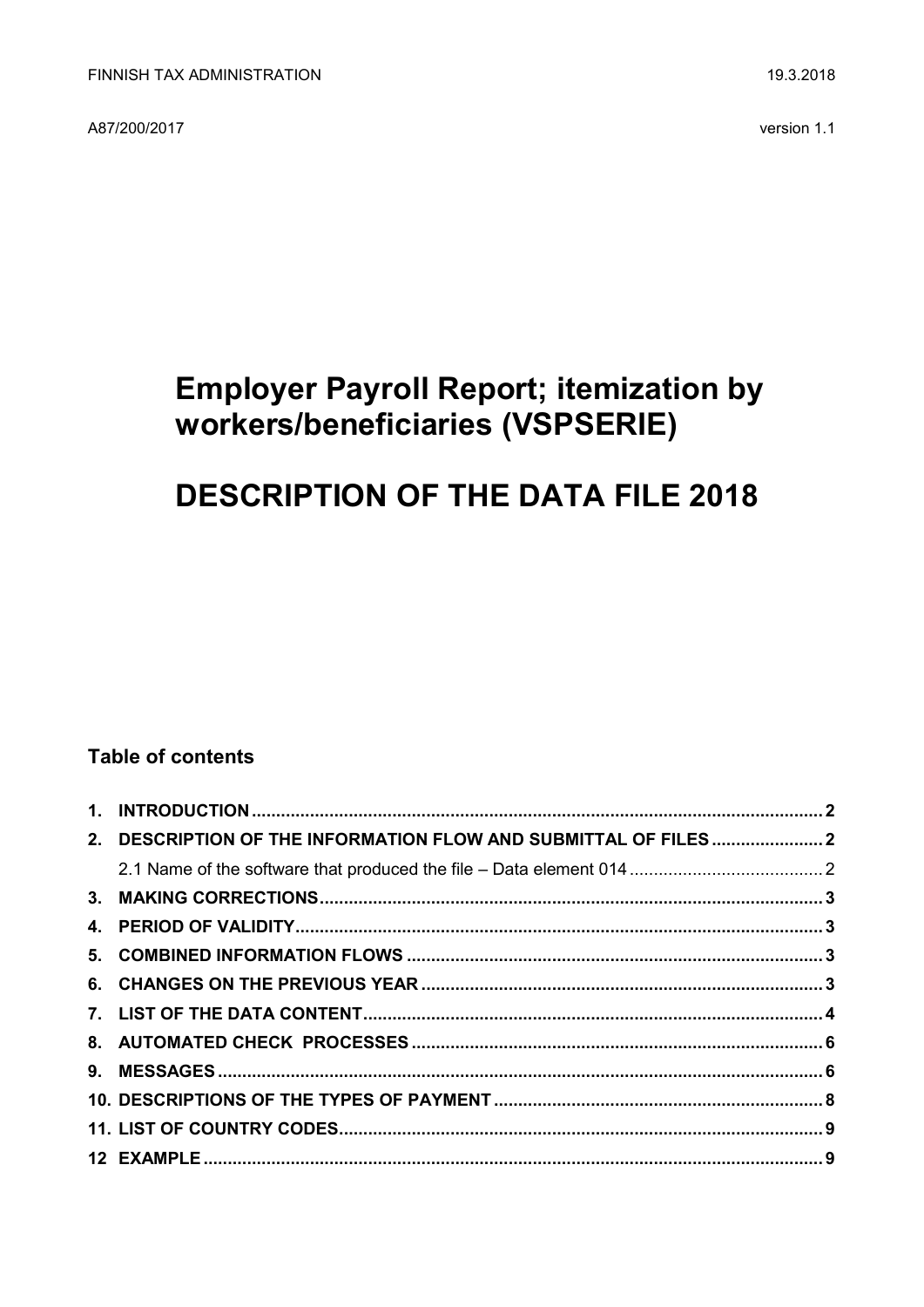A87/200/2017

# **Employer Payroll Report; itemization by** workers/beneficiaries (VSPSERIE)

# **DESCRIPTION OF THE DATA FILE 2018**

## **Table of contents**

| 2. DESCRIPTION OF THE INFORMATION FLOW AND SUBMITTAL OF FILES 2 |  |
|-----------------------------------------------------------------|--|
|                                                                 |  |
|                                                                 |  |
|                                                                 |  |
|                                                                 |  |
|                                                                 |  |
|                                                                 |  |
|                                                                 |  |
|                                                                 |  |
|                                                                 |  |
|                                                                 |  |
|                                                                 |  |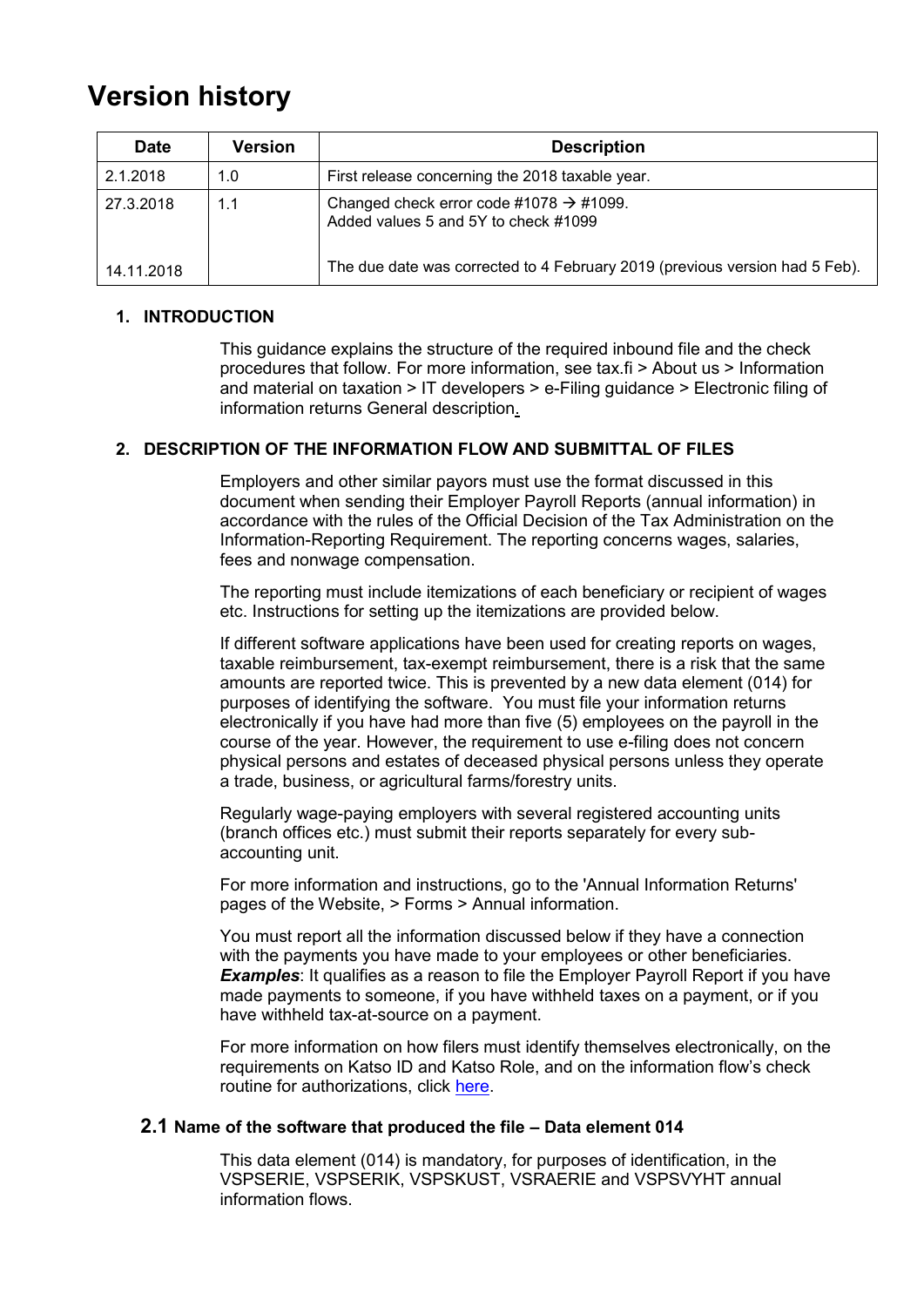## **Version history**

| <b>Date</b> | <b>Version</b> | <b>Description</b>                                                                          |
|-------------|----------------|---------------------------------------------------------------------------------------------|
| 2.1.2018    | 1.0            | First release concerning the 2018 taxable year.                                             |
| 27.3.2018   | 1.1            | Changed check error code #1078 $\rightarrow$ #1099.<br>Added values 5 and 5Y to check #1099 |
| 14.11.2018  |                | The due date was corrected to 4 February 2019 (previous version had 5 Feb).                 |

## <span id="page-1-0"></span>**1. INTRODUCTION**

This guidance explains the structure of the required inbound file and the check procedures that follow. For more information, see tax.fi > About us > Information and material on taxation > IT developers > e-Filing guidance > Electronic filing of information returns General description.

### <span id="page-1-1"></span>**2. DESCRIPTION OF THE INFORMATION FLOW AND SUBMITTAL OF FILES**

Employers and other similar payors must use the format discussed in this document when sending their Employer Payroll Reports (annual information) in accordance with the rules of the Official Decision of the Tax Administration on the Information-Reporting Requirement. The reporting concerns wages, salaries, fees and nonwage compensation.

The reporting must include itemizations of each beneficiary or recipient of wages etc. Instructions for setting up the itemizations are provided below.

If different software applications have been used for creating reports on wages, taxable reimbursement, tax-exempt reimbursement, there is a risk that the same amounts are reported twice. This is prevented by a new data element (014) for purposes of identifying the software. You must file your information returns electronically if you have had more than five (5) employees on the payroll in the course of the year. However, the requirement to use e-filing does not concern physical persons and estates of deceased physical persons unless they operate a trade, business, or agricultural farms/forestry units.

Regularly wage-paying employers with several registered accounting units (branch offices etc.) must submit their reports separately for every subaccounting unit.

For more information and instructions, go to the 'Annual Information Returns' pages of the Website, > Forms > Annual information.

You must report all the information discussed below if they have a connection with the payments you have made to your employees or other beneficiaries. **Examples**: It qualifies as a reason to file the Employer Payroll Report if you have made payments to someone, if you have withheld taxes on a payment, or if you have withheld tax-at-source on a payment.

For more information on how filers must identify themselves electronically, on the requirements on Katso ID and Katso Role, and on the information flow's check routine for authorizations, click [here.](https://www.ilmoitin.fi/webtamo/sivut/IlmoituslajiRoolit?kieli=en&tv=VSPSERIE)

### <span id="page-1-2"></span>**2.1 Name of the software that produced the file – Data element 014**

This data element (014) is mandatory, for purposes of identification, in the VSPSERIE, VSPSERIK, VSPSKUST, VSRAERIE and VSPSVYHT annual information flows.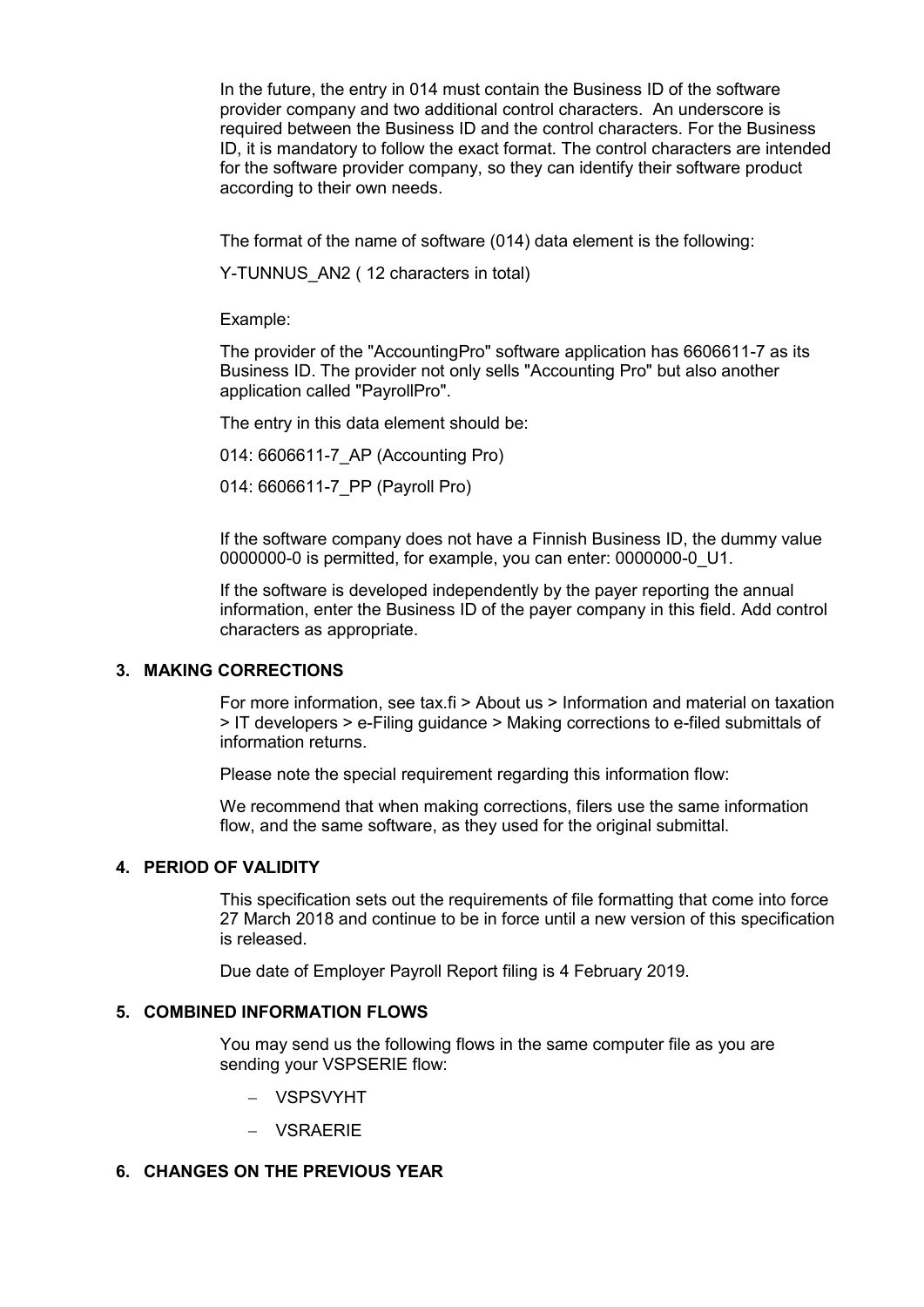In the future, the entry in 014 must contain the Business ID of the software provider company and two additional control characters. An underscore is required between the Business ID and the control characters. For the Business ID, it is mandatory to follow the exact format. The control characters are intended for the software provider company, so they can identify their software product according to their own needs.

The format of the name of software (014) data element is the following:

Y-TUNNUS\_AN2 ( 12 characters in total)

Example:

The provider of the "AccountingPro" software application has 6606611-7 as its Business ID. The provider not only sells "Accounting Pro" but also another application called "PayrollPro".

The entry in this data element should be:

014: 6606611-7\_AP (Accounting Pro)

014: 6606611-7\_PP (Payroll Pro)

If the software company does not have a Finnish Business ID, the dummy value 0000000-0 is permitted, for example, you can enter: 0000000-0\_U1.

If the software is developed independently by the payer reporting the annual information, enter the Business ID of the payer company in this field. Add control characters as appropriate.

### <span id="page-2-0"></span>**3. MAKING CORRECTIONS**

For more information, see tax.fi > About us > Information and material on taxation > IT developers > e-Filing guidance > Making corrections to e-filed submittals of information returns.

Please note the special requirement regarding this information flow:

We recommend that when making corrections, filers use the same information flow, and the same software, as they used for the original submittal.

#### <span id="page-2-1"></span>**4. PERIOD OF VALIDITY**

This specification sets out the requirements of file formatting that come into force 27 March 2018 and continue to be in force until a new version of this specification is released.

Due date of Employer Payroll Report filing is 4 February 2019.

#### <span id="page-2-2"></span>**5. COMBINED INFORMATION FLOWS**

You may send us the following flows in the same computer file as you are sending your VSPSERIE flow:

- VSPSVYHT
- VSRAERIE

### <span id="page-2-3"></span>**6. CHANGES ON THE PREVIOUS YEAR**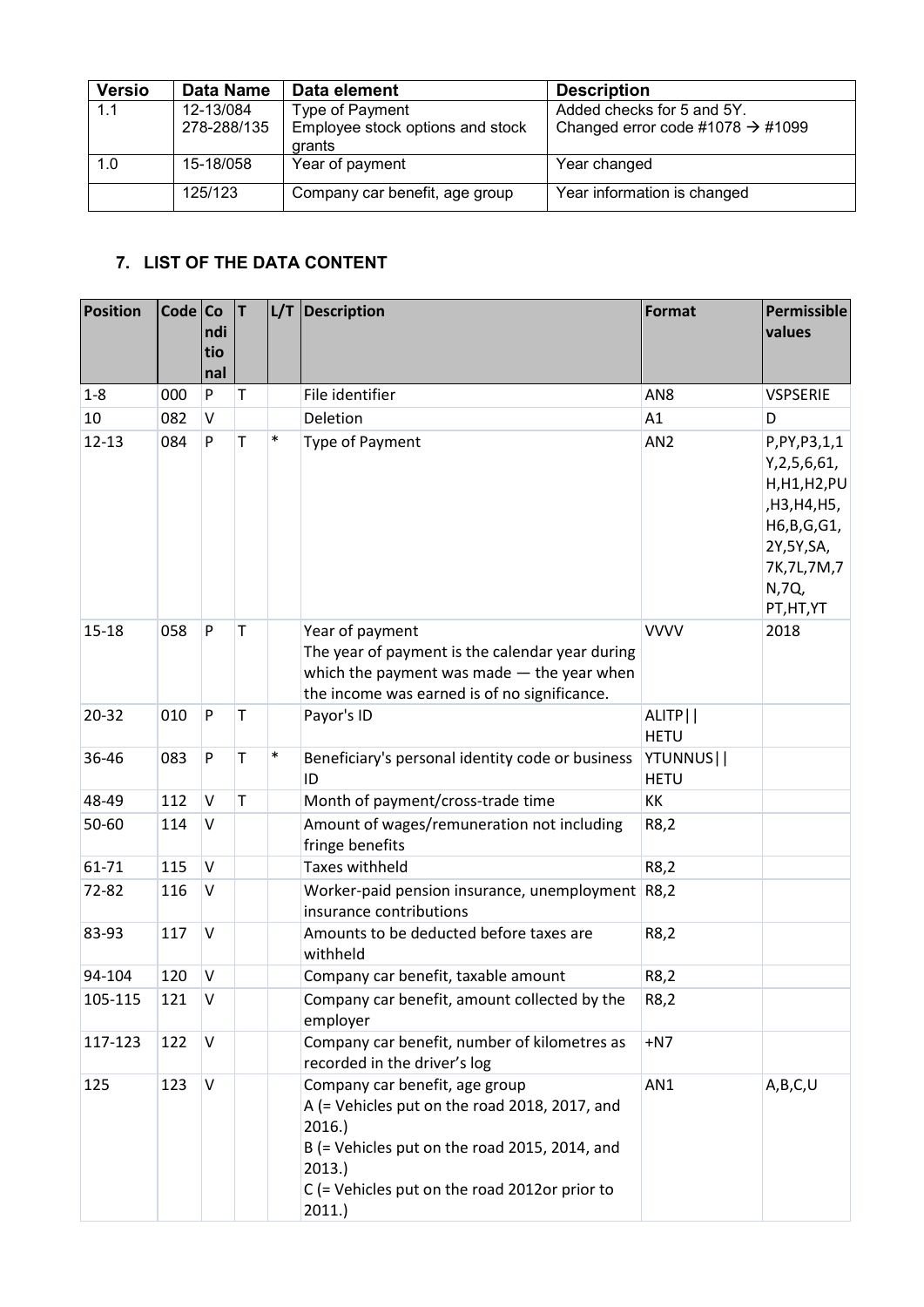| <b>Versio</b> | <b>Data Name</b> | Data element                               | <b>Description</b>                           |
|---------------|------------------|--------------------------------------------|----------------------------------------------|
| 1.1           | 12-13/084        | Type of Payment                            | Added checks for 5 and 5Y.                   |
|               | 278-288/135      | Employee stock options and stock<br>grants | Changed error code #1078 $\rightarrow$ #1099 |
| 1.0           | 15-18/058        | Year of payment                            | Year changed                                 |
|               | 125/123          | Company car benefit, age group             | Year information is changed                  |

## <span id="page-3-0"></span>**7. LIST OF THE DATA CONTENT**

| <b>Position</b> | Code Co | ndi<br>tio<br>nal | IТ. |        | $L/T$ Description                                                                                                                                                                                            | Format                            | Permissible<br>values                                                                                                                   |
|-----------------|---------|-------------------|-----|--------|--------------------------------------------------------------------------------------------------------------------------------------------------------------------------------------------------------------|-----------------------------------|-----------------------------------------------------------------------------------------------------------------------------------------|
| $1 - 8$         | 000     | ${\sf P}$         | T   |        | File identifier                                                                                                                                                                                              | AN <sub>8</sub>                   | <b>VSPSERIE</b>                                                                                                                         |
| 10              | 082     | V                 |     |        | Deletion                                                                                                                                                                                                     | A1                                | D                                                                                                                                       |
| $12 - 13$       | 084     | P                 | T   | $\ast$ | Type of Payment                                                                                                                                                                                              | AN <sub>2</sub>                   | P, PY, P3, 1, 1<br>Y, 2, 5, 6, 61,<br>H, H1, H2, PU<br>,H3,H4,H5,<br>H6, B, G, G1,<br>2Y,5Y,SA,<br>7K, 7L, 7M, 7<br>N,7Q,<br>PT, HT, YT |
| 15-18           | 058     | P                 | T   |        | Year of payment<br>The year of payment is the calendar year during<br>which the payment was made $-$ the year when<br>the income was earned is of no significance.                                           | <b>VVVV</b>                       | 2018                                                                                                                                    |
| 20-32           | 010     | $\mathsf{P}$      | T   |        | Payor's ID                                                                                                                                                                                                   | ALITP <sup>I</sup><br><b>HETU</b> |                                                                                                                                         |
| 36-46           | 083     | P                 | T   | $\ast$ | Beneficiary's personal identity code or business<br>ID                                                                                                                                                       | YTUNNUS  <br><b>HETU</b>          |                                                                                                                                         |
| 48-49           | 112     | V                 | T   |        | Month of payment/cross-trade time                                                                                                                                                                            | KK                                |                                                                                                                                         |
| 50-60           | 114     | V                 |     |        | Amount of wages/remuneration not including<br>fringe benefits                                                                                                                                                | R8,2                              |                                                                                                                                         |
| 61-71           | 115     | V                 |     |        | <b>Taxes withheld</b>                                                                                                                                                                                        | R8,2                              |                                                                                                                                         |
| 72-82           | 116     | V                 |     |        | Worker-paid pension insurance, unemployment R8,2<br>insurance contributions                                                                                                                                  |                                   |                                                                                                                                         |
| 83-93           | 117     | V                 |     |        | Amounts to be deducted before taxes are<br>withheld                                                                                                                                                          | R8,2                              |                                                                                                                                         |
| 94-104          | 120     | V                 |     |        | Company car benefit, taxable amount                                                                                                                                                                          | R8,2                              |                                                                                                                                         |
| 105-115         | 121     | V                 |     |        | Company car benefit, amount collected by the<br>employer                                                                                                                                                     | R8,2                              |                                                                                                                                         |
| 117-123         | 122     | V                 |     |        | Company car benefit, number of kilometres as<br>recorded in the driver's log                                                                                                                                 | $+N7$                             |                                                                                                                                         |
| 125             | 123     | $\vee$            |     |        | Company car benefit, age group<br>A (= Vehicles put on the road 2018, 2017, and<br>2016.<br>B (= Vehicles put on the road 2015, 2014, and<br>2013.<br>C (= Vehicles put on the road 2012or prior to<br>2011. | AN1                               | A,B,C,U                                                                                                                                 |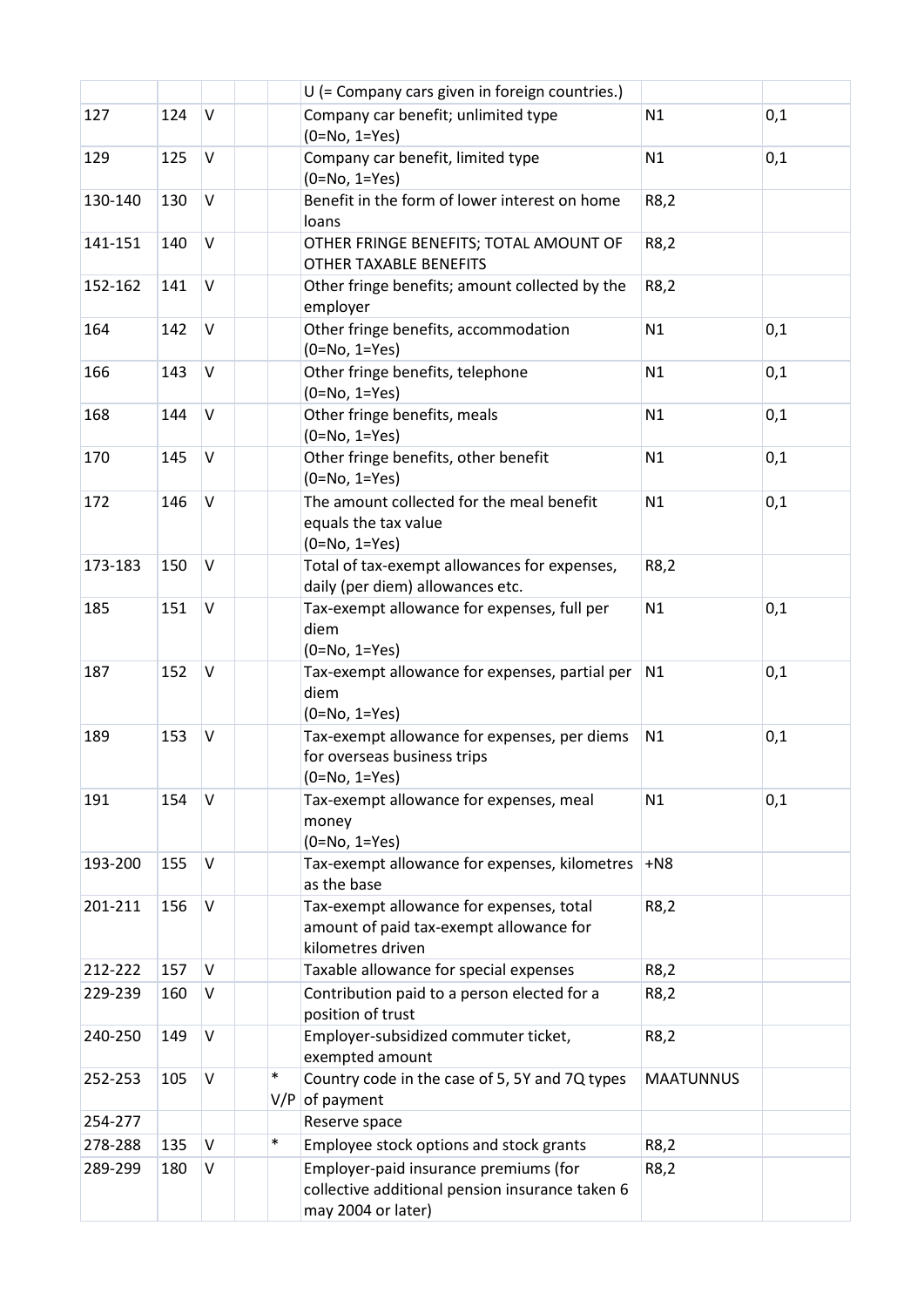|         |     |              |               | U (= Company cars given in foreign countries.)                                                                 |                  |     |
|---------|-----|--------------|---------------|----------------------------------------------------------------------------------------------------------------|------------------|-----|
| 127     | 124 | V            |               | Company car benefit; unlimited type<br>$(0=No, 1=Yes)$                                                         | N1               | 0,1 |
| 129     | 125 | $\vee$       |               | Company car benefit, limited type<br>$(0=No, 1=Yes)$                                                           | N1               | 0,1 |
| 130-140 | 130 | $\mathsf{V}$ |               | Benefit in the form of lower interest on home<br>loans                                                         | R8,2             |     |
| 141-151 | 140 | V            |               | OTHER FRINGE BENEFITS; TOTAL AMOUNT OF<br>OTHER TAXABLE BENEFITS                                               | R8,2             |     |
| 152-162 | 141 | $\vee$       |               | Other fringe benefits; amount collected by the<br>employer                                                     | R8,2             |     |
| 164     | 142 | $\mathsf{V}$ |               | Other fringe benefits, accommodation<br>$(0=No, 1=Yes)$                                                        | N1               | 0,1 |
| 166     | 143 | V            |               | Other fringe benefits, telephone<br>$(0=No, 1=Yes)$                                                            | N1               | 0,1 |
| 168     | 144 | $\mathsf{V}$ |               | Other fringe benefits, meals<br>$(0=No, 1=Yes)$                                                                | N1               | 0,1 |
| 170     | 145 | $\vee$       |               | Other fringe benefits, other benefit<br>$(0=No, 1=Yes)$                                                        | N1               | 0,1 |
| 172     | 146 | $\vee$       |               | The amount collected for the meal benefit<br>equals the tax value<br>$(0=No, 1=Yes)$                           | N1               | 0,1 |
| 173-183 | 150 | V            |               | Total of tax-exempt allowances for expenses,<br>daily (per diem) allowances etc.                               | R8,2             |     |
| 185     | 151 | V            |               | Tax-exempt allowance for expenses, full per<br>diem<br>$(0=No, 1=Yes)$                                         | N1               | 0,1 |
| 187     | 152 | V            |               | Tax-exempt allowance for expenses, partial per<br>diem<br>$(0=No, 1=Yes)$                                      | N1               | 0,1 |
| 189     | 153 | V            |               | Tax-exempt allowance for expenses, per diems<br>for overseas business trips<br>(0=No, 1=Yes)                   | N1               | 0,1 |
| 191     | 154 | V            |               | Tax-exempt allowance for expenses, meal<br>money<br>$(0=No, 1=Yes)$                                            | N1               | 0,1 |
| 193-200 | 155 | $\vee$       |               | Tax-exempt allowance for expenses, kilometres<br>as the base                                                   | $+NS$            |     |
| 201-211 | 156 | V            |               | Tax-exempt allowance for expenses, total<br>amount of paid tax-exempt allowance for<br>kilometres driven       | R8,2             |     |
| 212-222 | 157 | V            |               | Taxable allowance for special expenses                                                                         | R8,2             |     |
| 229-239 | 160 | V            |               | Contribution paid to a person elected for a<br>position of trust                                               | R8,2             |     |
| 240-250 | 149 | V            |               | Employer-subsidized commuter ticket,<br>exempted amount                                                        | R8,2             |     |
| 252-253 | 105 | V            | $\ast$<br>V/P | Country code in the case of 5, 5Y and 7Q types<br>of payment                                                   | <b>MAATUNNUS</b> |     |
| 254-277 |     |              |               | Reserve space                                                                                                  |                  |     |
| 278-288 | 135 | V            | $\ast$        | Employee stock options and stock grants                                                                        | R8,2             |     |
| 289-299 | 180 | V            |               | Employer-paid insurance premiums (for<br>collective additional pension insurance taken 6<br>may 2004 or later) | R8,2             |     |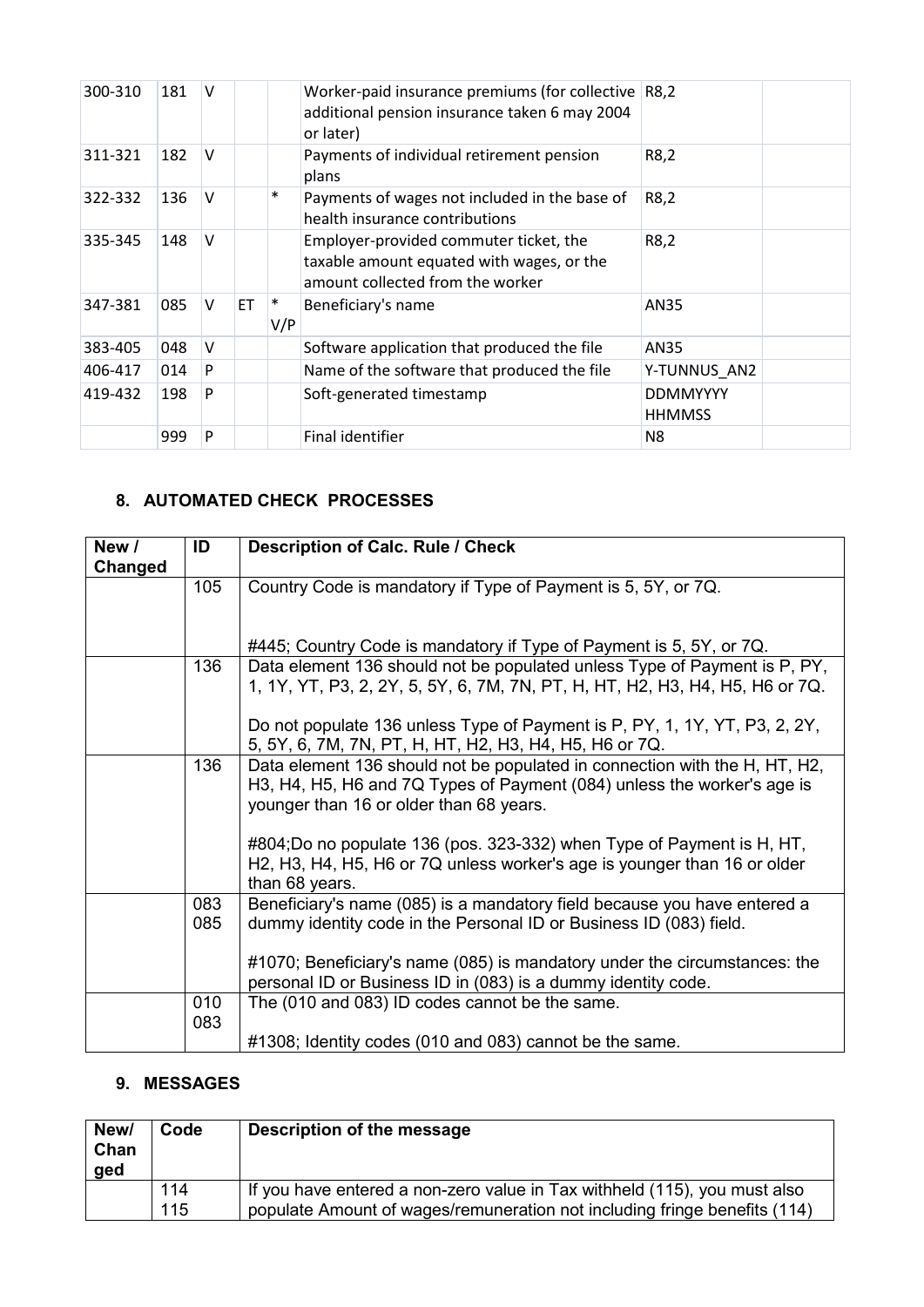| 300-310 | 181 | V            |     |               | Worker-paid insurance premiums (for collective<br>additional pension insurance taken 6 may 2004<br>or later)            | R8,2                             |
|---------|-----|--------------|-----|---------------|-------------------------------------------------------------------------------------------------------------------------|----------------------------------|
| 311-321 | 182 | V            |     |               | Payments of individual retirement pension<br>plans                                                                      | R8,2                             |
| 322-332 | 136 | $\mathsf{V}$ |     | $\ast$        | Payments of wages not included in the base of<br>health insurance contributions                                         | R8,2                             |
| 335-345 | 148 | V            |     |               | Employer-provided commuter ticket, the<br>taxable amount equated with wages, or the<br>amount collected from the worker | R8,2                             |
| 347-381 | 085 | V            | ET. | $\ast$<br>V/P | Beneficiary's name                                                                                                      | AN35                             |
| 383-405 | 048 | V            |     |               | Software application that produced the file                                                                             | AN35                             |
| 406-417 | 014 | P            |     |               | Name of the software that produced the file                                                                             | Y-TUNNUS AN2                     |
| 419-432 | 198 | P            |     |               | Soft-generated timestamp                                                                                                | <b>DDMMYYYY</b><br><b>HHMMSS</b> |
|         | 999 | P            |     |               | Final identifier                                                                                                        | N8                               |

## <span id="page-5-0"></span>**8. AUTOMATED CHECK PROCESSES**

| New /   | ID  | <b>Description of Calc. Rule / Check</b>                                     |
|---------|-----|------------------------------------------------------------------------------|
| Changed |     |                                                                              |
|         | 105 | Country Code is mandatory if Type of Payment is 5, 5Y, or 7Q.                |
|         |     |                                                                              |
|         |     |                                                                              |
|         |     | #445; Country Code is mandatory if Type of Payment is 5, 5Y, or 7Q.          |
|         | 136 | Data element 136 should not be populated unless Type of Payment is P, PY,    |
|         |     | 1, 1Y, YT, P3, 2, 2Y, 5, 5Y, 6, 7M, 7N, PT, H, HT, H2, H3, H4, H5, H6 or 7Q. |
|         |     |                                                                              |
|         |     | Do not populate 136 unless Type of Payment is P, PY, 1, 1Y, YT, P3, 2, 2Y,   |
|         |     | 5, 5Y, 6, 7M, 7N, PT, H, HT, H2, H3, H4, H5, H6 or 7Q.                       |
|         | 136 | Data element 136 should not be populated in connection with the H, HT, H2,   |
|         |     | H3, H4, H5, H6 and 7Q Types of Payment (084) unless the worker's age is      |
|         |     | younger than 16 or older than 68 years.                                      |
|         |     |                                                                              |
|         |     |                                                                              |
|         |     | #804;Do no populate 136 (pos. 323-332) when Type of Payment is H, HT,        |
|         |     | H2, H3, H4, H5, H6 or 7Q unless worker's age is younger than 16 or older     |
|         |     | than 68 years.                                                               |
|         | 083 | Beneficiary's name (085) is a mandatory field because you have entered a     |
|         | 085 | dummy identity code in the Personal ID or Business ID (083) field.           |
|         |     |                                                                              |
|         |     | #1070; Beneficiary's name (085) is mandatory under the circumstances: the    |
|         |     | personal ID or Business ID in (083) is a dummy identity code.                |
|         | 010 | The (010 and 083) ID codes cannot be the same.                               |
|         | 083 |                                                                              |
|         |     | #1308; Identity codes (010 and 083) cannot be the same.                      |
|         |     |                                                                              |

## <span id="page-5-1"></span>**9. MESSAGES**

| New/<br>Chan<br>ged | Code | Description of the message                                                |
|---------------------|------|---------------------------------------------------------------------------|
|                     | 114  | If you have entered a non-zero value in Tax withheld (115), you must also |
|                     | 115  | populate Amount of wages/remuneration not including fringe benefits (114) |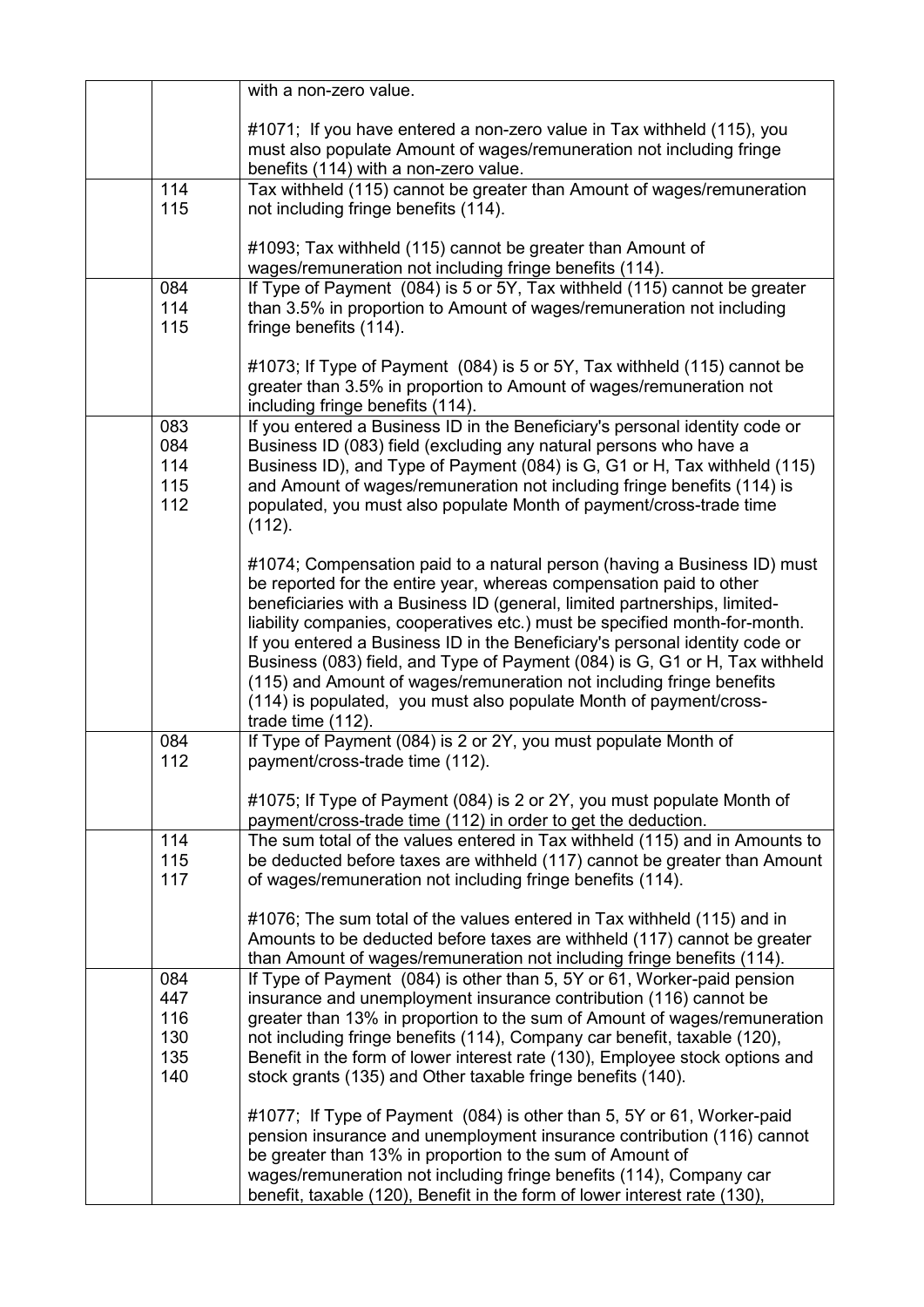|                                        | with a non-zero value.                                                                                                                                                                                                                                                                                                                                                                                                                                                                                                                                                                                                                      |
|----------------------------------------|---------------------------------------------------------------------------------------------------------------------------------------------------------------------------------------------------------------------------------------------------------------------------------------------------------------------------------------------------------------------------------------------------------------------------------------------------------------------------------------------------------------------------------------------------------------------------------------------------------------------------------------------|
|                                        | #1071; If you have entered a non-zero value in Tax withheld (115), you<br>must also populate Amount of wages/remuneration not including fringe<br>benefits (114) with a non-zero value.                                                                                                                                                                                                                                                                                                                                                                                                                                                     |
| 114<br>115                             | Tax withheld (115) cannot be greater than Amount of wages/remuneration<br>not including fringe benefits (114).                                                                                                                                                                                                                                                                                                                                                                                                                                                                                                                              |
|                                        | #1093; Tax withheld (115) cannot be greater than Amount of<br>wages/remuneration not including fringe benefits (114).                                                                                                                                                                                                                                                                                                                                                                                                                                                                                                                       |
| 084<br>114<br>115                      | If Type of Payment (084) is 5 or 5Y, Tax withheld (115) cannot be greater<br>than 3.5% in proportion to Amount of wages/remuneration not including<br>fringe benefits (114).                                                                                                                                                                                                                                                                                                                                                                                                                                                                |
|                                        | #1073; If Type of Payment (084) is 5 or 5Y, Tax withheld (115) cannot be<br>greater than 3.5% in proportion to Amount of wages/remuneration not<br>including fringe benefits (114).                                                                                                                                                                                                                                                                                                                                                                                                                                                         |
| 083<br>084<br>114<br>115<br>112        | If you entered a Business ID in the Beneficiary's personal identity code or<br>Business ID (083) field (excluding any natural persons who have a<br>Business ID), and Type of Payment (084) is G, G1 or H, Tax withheld (115)<br>and Amount of wages/remuneration not including fringe benefits (114) is<br>populated, you must also populate Month of payment/cross-trade time<br>(112).                                                                                                                                                                                                                                                   |
|                                        | #1074; Compensation paid to a natural person (having a Business ID) must<br>be reported for the entire year, whereas compensation paid to other<br>beneficiaries with a Business ID (general, limited partnerships, limited-<br>liability companies, cooperatives etc.) must be specified month-for-month.<br>If you entered a Business ID in the Beneficiary's personal identity code or<br>Business (083) field, and Type of Payment (084) is G, G1 or H, Tax withheld<br>(115) and Amount of wages/remuneration not including fringe benefits<br>(114) is populated, you must also populate Month of payment/cross-<br>trade time (112). |
| 084<br>112                             | If Type of Payment (084) is 2 or 2Y, you must populate Month of<br>payment/cross-trade time (112).                                                                                                                                                                                                                                                                                                                                                                                                                                                                                                                                          |
|                                        | #1075; If Type of Payment (084) is 2 or 2Y, you must populate Month of<br>payment/cross-trade time (112) in order to get the deduction.                                                                                                                                                                                                                                                                                                                                                                                                                                                                                                     |
| 114<br>115<br>117                      | The sum total of the values entered in Tax withheld (115) and in Amounts to<br>be deducted before taxes are withheld (117) cannot be greater than Amount<br>of wages/remuneration not including fringe benefits (114).                                                                                                                                                                                                                                                                                                                                                                                                                      |
|                                        | #1076; The sum total of the values entered in Tax withheld (115) and in<br>Amounts to be deducted before taxes are withheld (117) cannot be greater<br>than Amount of wages/remuneration not including fringe benefits (114).                                                                                                                                                                                                                                                                                                                                                                                                               |
| 084<br>447<br>116<br>130<br>135<br>140 | If Type of Payment (084) is other than 5, 5Y or 61, Worker-paid pension<br>insurance and unemployment insurance contribution (116) cannot be<br>greater than 13% in proportion to the sum of Amount of wages/remuneration<br>not including fringe benefits (114), Company car benefit, taxable (120),<br>Benefit in the form of lower interest rate (130), Employee stock options and<br>stock grants (135) and Other taxable fringe benefits (140).                                                                                                                                                                                        |
|                                        | #1077; If Type of Payment (084) is other than 5, 5Y or 61, Worker-paid<br>pension insurance and unemployment insurance contribution (116) cannot<br>be greater than 13% in proportion to the sum of Amount of<br>wages/remuneration not including fringe benefits (114), Company car<br>benefit, taxable (120), Benefit in the form of lower interest rate (130),                                                                                                                                                                                                                                                                           |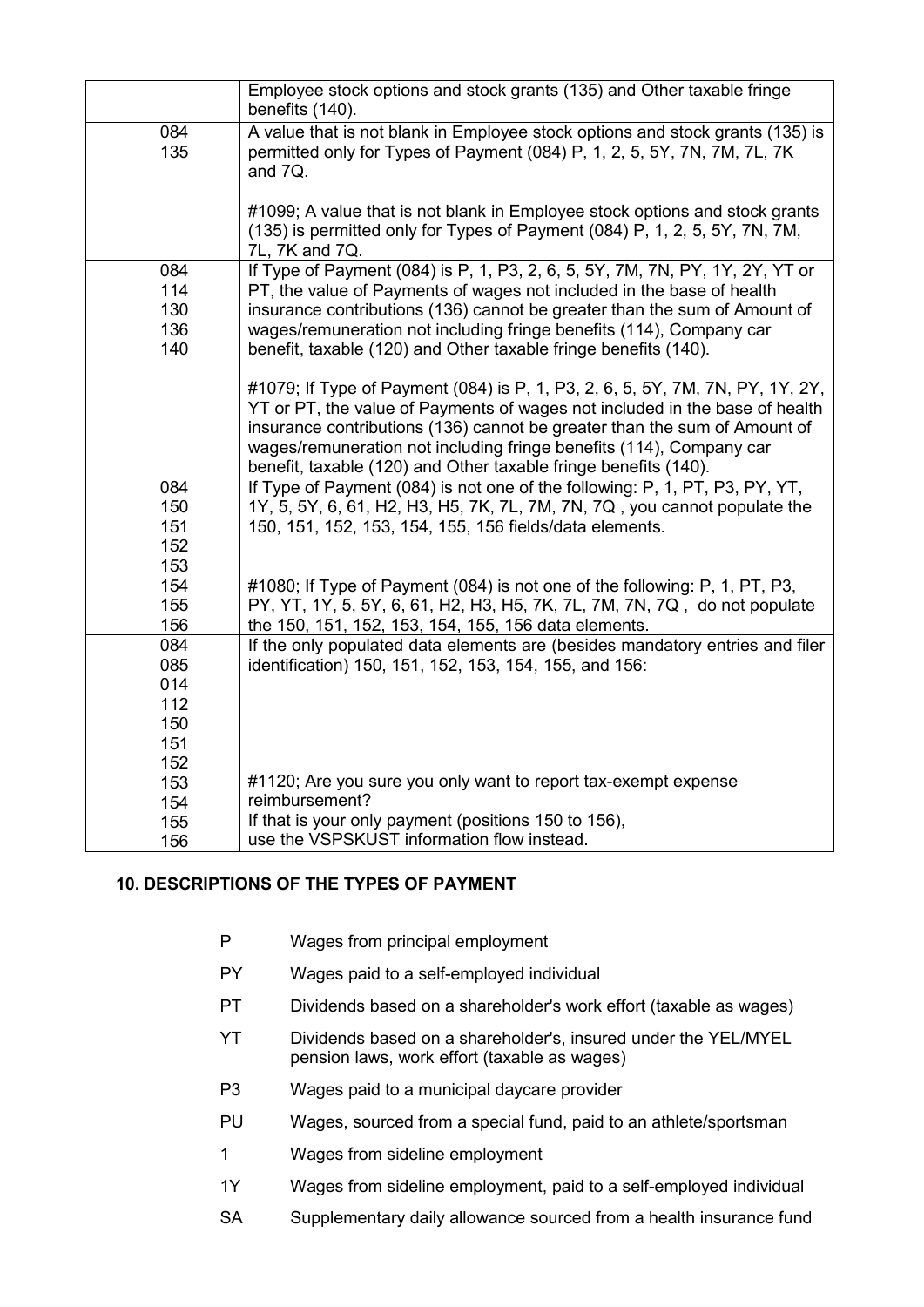|     | Employee stock options and stock grants (135) and Other taxable fringe<br>benefits (140). |
|-----|-------------------------------------------------------------------------------------------|
| 084 | A value that is not blank in Employee stock options and stock grants (135) is             |
| 135 | permitted only for Types of Payment (084) P, 1, 2, 5, 5Y, 7N, 7M, 7L, 7K                  |
|     | and 7Q.                                                                                   |
|     |                                                                                           |
|     | #1099; A value that is not blank in Employee stock options and stock grants               |
|     | (135) is permitted only for Types of Payment (084) P, 1, 2, 5, 5Y, 7N, 7M,                |
|     | 7L, 7K and 7Q.                                                                            |
| 084 | If Type of Payment (084) is P, 1, P3, 2, 6, 5, 5Y, 7M, 7N, PY, 1Y, 2Y, YT or              |
| 114 | PT, the value of Payments of wages not included in the base of health                     |
| 130 | insurance contributions (136) cannot be greater than the sum of Amount of                 |
| 136 | wages/remuneration not including fringe benefits (114), Company car                       |
| 140 | benefit, taxable (120) and Other taxable fringe benefits (140).                           |
|     |                                                                                           |
|     | #1079; If Type of Payment (084) is P, 1, P3, 2, 6, 5, 5Y, 7M, 7N, PY, 1Y, 2Y,             |
|     | YT or PT, the value of Payments of wages not included in the base of health               |
|     | insurance contributions (136) cannot be greater than the sum of Amount of                 |
|     | wages/remuneration not including fringe benefits (114), Company car                       |
|     | benefit, taxable (120) and Other taxable fringe benefits (140).                           |
| 084 | If Type of Payment (084) is not one of the following: P, 1, PT, P3, PY, YT,               |
| 150 | 1Y, 5, 5Y, 6, 61, H2, H3, H5, 7K, 7L, 7M, 7N, 7Q, you cannot populate the                 |
| 151 | 150, 151, 152, 153, 154, 155, 156 fields/data elements.                                   |
| 152 |                                                                                           |
| 153 |                                                                                           |
| 154 | #1080; If Type of Payment (084) is not one of the following: P, 1, PT, P3,                |
| 155 | PY, YT, 1Y, 5, 5Y, 6, 61, H2, H3, H5, 7K, 7L, 7M, 7N, 7Q, do not populate                 |
| 156 | the 150, 151, 152, 153, 154, 155, 156 data elements.                                      |
| 084 | If the only populated data elements are (besides mandatory entries and filer              |
| 085 | identification) 150, 151, 152, 153, 154, 155, and 156:                                    |
| 014 |                                                                                           |
| 112 |                                                                                           |
| 150 |                                                                                           |
| 151 |                                                                                           |
| 152 |                                                                                           |
| 153 | #1120; Are you sure you only want to report tax-exempt expense                            |
| 154 | reimbursement?                                                                            |
| 155 | If that is your only payment (positions 150 to 156),                                      |
| 156 | use the VSPSKUST information flow instead.                                                |

### <span id="page-7-0"></span>**10. DESCRIPTIONS OF THE TYPES OF PAYMENT**

- P Wages from principal employment
- PY Wages paid to a self-employed individual
- PT Dividends based on a shareholder's work effort (taxable as wages)
- YT Dividends based on a shareholder's, insured under the YEL/MYEL pension laws, work effort (taxable as wages)
- P3 Wages paid to a municipal daycare provider
- PU Wages, sourced from a special fund, paid to an athlete/sportsman
- 1 Wages from sideline employment
- 1Y Wages from sideline employment, paid to a self-employed individual
- SA Supplementary daily allowance sourced from a health insurance fund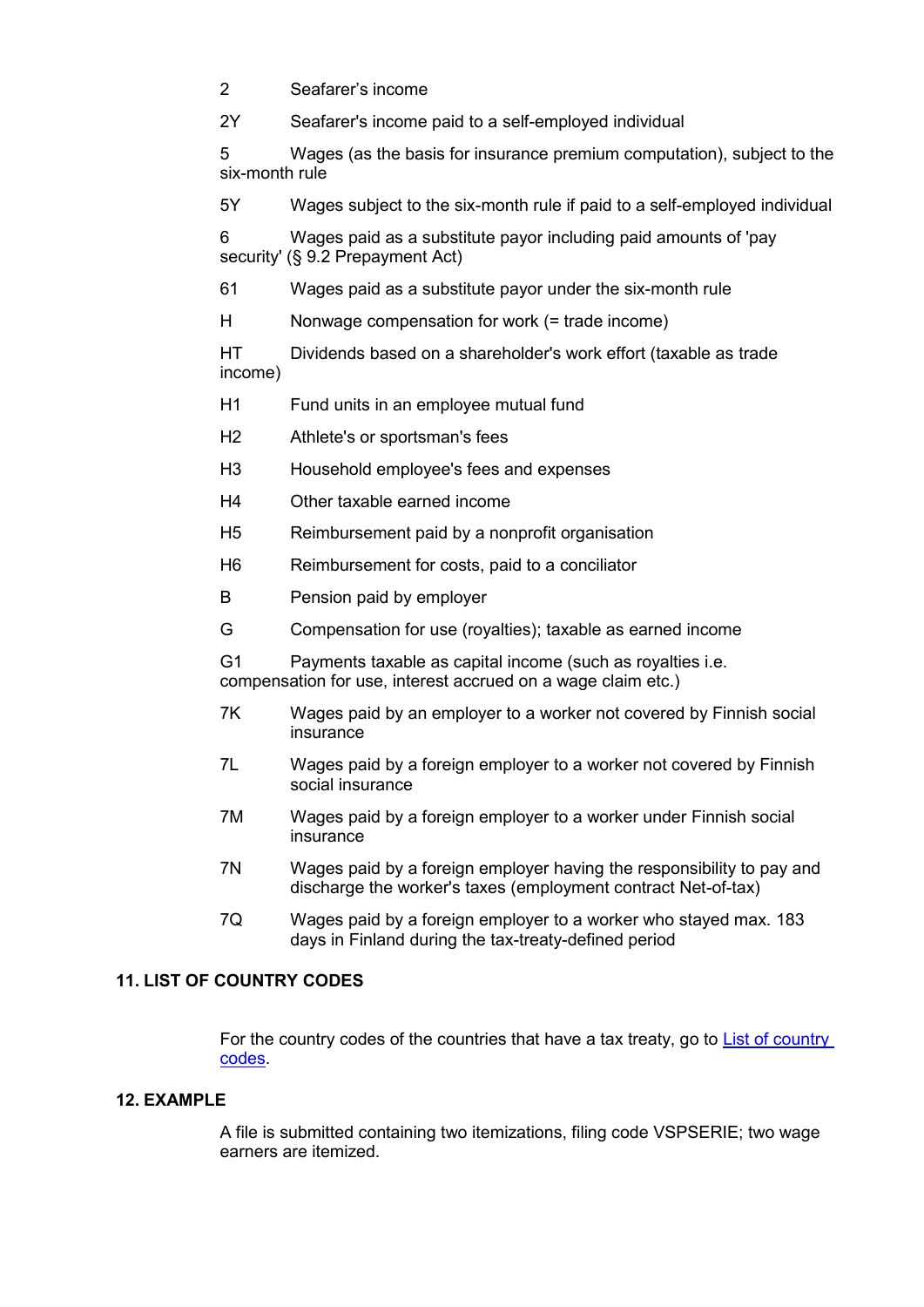2 Seafarer's income

2Y Seafarer's income paid to a self-employed individual

5 Wages (as the basis for insurance premium computation), subject to the six-month rule

5Y Wages subject to the six-month rule if paid to a self-employed individual

6 Wages paid as a substitute payor including paid amounts of 'pay security' (§ 9.2 Prepayment Act)

61 Wages paid as a substitute payor under the six-month rule

H Nonwage compensation for work (= trade income)

HT Dividends based on a shareholder's work effort (taxable as trade income)

- H1 Fund units in an employee mutual fund
- H2 Athlete's or sportsman's fees
- H3 Household employee's fees and expenses
- H4 Other taxable earned income
- H5 Reimbursement paid by a nonprofit organisation
- H6 Reimbursement for costs, paid to a conciliator
- B Pension paid by employer
- G Compensation for use (royalties); taxable as earned income

G1 Payments taxable as capital income (such as royalties i.e. compensation for use, interest accrued on a wage claim etc.)

- 7K Wages paid by an employer to a worker not covered by Finnish social insurance
- 7L Wages paid by a foreign employer to a worker not covered by Finnish social insurance
- 7M Wages paid by a foreign employer to a worker under Finnish social insurance
- 7N Wages paid by a foreign employer having the responsibility to pay and discharge the worker's taxes (employment contract Net-of-tax)
- 7Q Wages paid by a foreign employer to a worker who stayed max. 183 days in Finland during the tax-treaty-defined period

## <span id="page-8-0"></span>**11. LIST OF COUNTRY CODES**

For the country codes of the countries that have a tax treaty, go to [List of country](https://www.ilmoitin.fi/webtamo/sivut/ExcelPohjat?6&kieli=en)  [codes.](https://www.ilmoitin.fi/webtamo/sivut/ExcelPohjat?6&kieli=en)

### <span id="page-8-1"></span>**12. EXAMPLE**

A file is submitted containing two itemizations, filing code VSPSERIE; two wage earners are itemized.